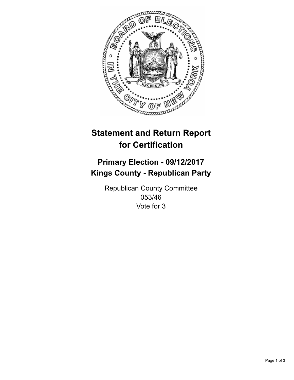

## **Statement and Return Report for Certification**

## **Primary Election - 09/12/2017 Kings County - Republican Party**

Republican County Committee 053/46 Vote for 3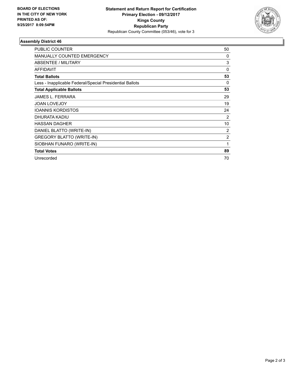

## **Assembly District 46**

| <b>PUBLIC COUNTER</b>                                    | 50             |
|----------------------------------------------------------|----------------|
| <b>MANUALLY COUNTED EMERGENCY</b>                        | 0              |
| ABSENTEE / MILITARY                                      | 3              |
| <b>AFFIDAVIT</b>                                         | 0              |
| <b>Total Ballots</b>                                     | 53             |
| Less - Inapplicable Federal/Special Presidential Ballots | 0              |
| <b>Total Applicable Ballots</b>                          | 53             |
| <b>JAMES L. FERRARA</b>                                  | 29             |
| <b>JOAN LOVEJOY</b>                                      | 19             |
| <b>IOANNIS KORDISTOS</b>                                 | 24             |
| DHURATA KADIU                                            | 2              |
| <b>HASSAN DAGHER</b>                                     | 10             |
| DANIEL BLATTO (WRITE-IN)                                 | 2              |
| GREGORY BLATTO (WRITE-IN)                                | $\overline{2}$ |
| SIOBHAN FUNARO (WRITE-IN)                                | 1              |
| <b>Total Votes</b>                                       | 89             |
| Unrecorded                                               | 70             |